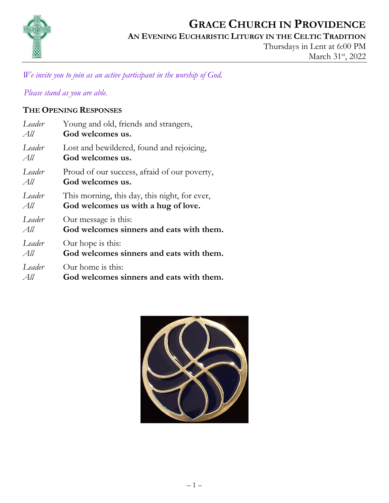

**GRACE CHURCH IN PROVIDENCE AN EVENING EUCHARISTIC LITURGY IN THE CELTIC TRADITION**

> Thursdays in Lent at 6:00 PM March 31<sup>st</sup>, 2022

*We invite you to join as an active participant in the worship of God.*

 *Please stand as you are able.*

### **THE OPENING RESPONSES**

| Leader | Young and old, friends and strangers,         |
|--------|-----------------------------------------------|
| All    | God welcomes us.                              |
| Leader | Lost and bewildered, found and rejoicing,     |
| All    | God welcomes us.                              |
| Leader | Proud of our success, afraid of our poverty,  |
| All    | God welcomes us.                              |
| Leader | This morning, this day, this night, for ever, |
| All    | God welcomes us with a hug of love.           |
| Leader | Our message is this:                          |
| All    | God welcomes sinners and eats with them.      |
| Leader | Our hope is this:                             |
| All    | God welcomes sinners and eats with them.      |
| Leader | Our home is this:                             |
| All    | God welcomes sinners and eats with them.      |

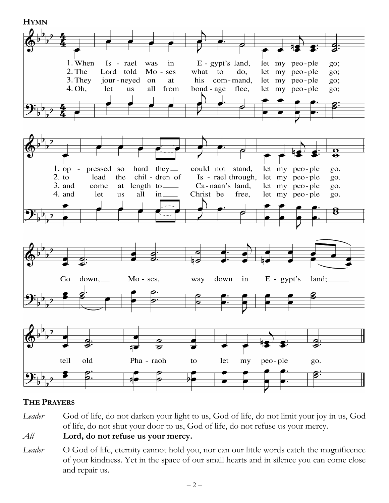

### **THE PRAYERS**

Leader God of life, do not darken your light to us, God of life, do not limit your joy in us, God of life, do not shut your door to us, God of life, do not refuse us your mercy.

*All* **Lord, do not refuse us your mercy.**

*Leader* O God of life, eternity cannot hold you, nor can our little words catch the magnificence of your kindness. Yet in the space of our small hearts and in silence you can come close and repair us.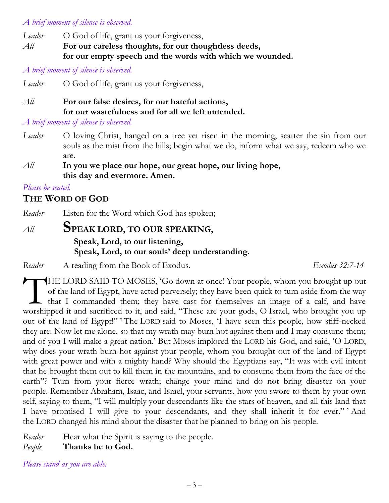### *A brief moment of silence is observed.*

Leader O God of life, grant us your forgiveness, *All* **For our careless thoughts, for our thoughtless deeds, for our empty speech and the words with which we wounded.**

*A brief moment of silence is observed.*

Leader O God of life, grant us your forgiveness,

### *All* **For our false desires, for our hateful actions, for our wastefulness and for all we left untended.**

*A brief moment of silence is observed.*

- *Leader* O loving Christ, hanged on a tree yet risen in the morning, scatter the sin from our souls as the mist from the hills; begin what we do, inform what we say, redeem who we are.
- *All* **In you we place our hope, our great hope, our living hope, this day and evermore. Amen.**

### *Please be seated.*

### **THE WORD OF GOD**

*Reader* Listen for the Word which God has spoken;

*All* **SPEAK LORD, TO OUR SPEAKING, Speak, Lord, to our listening, Speak, Lord, to our souls' deep understanding.**

*Reader* A reading from the Book of Exodus. *Exodus 32:7-14*

HE LORD SAID TO MOSES, 'Go down at once! Your people, whom you brought up out of the land of Egypt, have acted perversely; they have been quick to turn aside from the way that I commanded them; they have cast for themselves an image of a calf, and have HE LORD SAID TO MOSES, 'Go down at once! Your people, whom you brought up out of the land of Egypt, have acted perversely; they have been quick to turn aside from the way that I commanded them; they have cast for themselve out of the land of Egypt!" ' The LORD said to Moses, 'I have seen this people, how stiff-necked they are. Now let me alone, so that my wrath may burn hot against them and I may consume them; and of you I will make a great nation.' But Moses implored the LORD his God, and said, 'O LORD, why does your wrath burn hot against your people, whom you brought out of the land of Egypt with great power and with a mighty hand? Why should the Egyptians say, "It was with evil intent that he brought them out to kill them in the mountains, and to consume them from the face of the earth"? Turn from your fierce wrath; change your mind and do not bring disaster on your people. Remember Abraham, Isaac, and Israel, your servants, how you swore to them by your own self, saying to them, "I will multiply your descendants like the stars of heaven, and all this land that I have promised I will give to your descendants, and they shall inherit it for ever." ' And the LORD changed his mind about the disaster that he planned to bring on his people.

*Reader* Hear what the Spirit is saying to the people.

*People* **Thanks be to God.**

*Please stand as you are able.*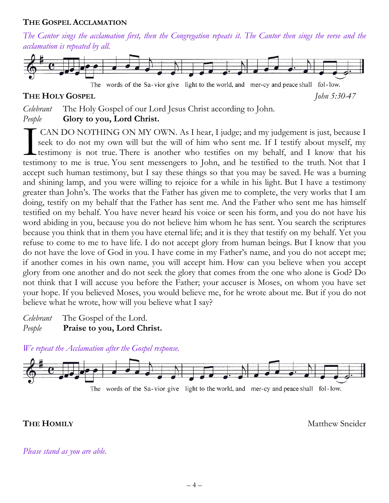### **THE GOSPEL ACCLAMATION**

*The Cantor sings the acclamation first, then the Congregation repeats it. The Cantor then sings the verse and the acclamation is repeated by all.*



#### **THE HOLY GOSPEL** *John 5:30-47*

*Celebrant* The Holy Gospel of our Lord Jesus Christ according to John.

### *People* **Glory to you, Lord Christ.**

CAN DO NOTHING ON MY OWN. As I hear, I judge; and my judgement is just, because I seek to do not my own will but the will of him who sent me. If I testify about myself, my testimony is not true. There is another who testifies on my behalf, and I know that his CAN DO NOTHING ON MY OWN. As I hear, I judge; and my judgement is just, because I seek to do not my own will but the will of him who sent me. If I testify about myself, my testimony is not true. There is another who testif accept such human testimony, but I say these things so that you may be saved. He was a burning and shining lamp, and you were willing to rejoice for a while in his light. But I have a testimony greater than John's. The works that the Father has given me to complete, the very works that I am doing, testify on my behalf that the Father has sent me. And the Father who sent me has himself testified on my behalf. You have never heard his voice or seen his form, and you do not have his word abiding in you, because you do not believe him whom he has sent. You search the scriptures because you think that in them you have eternal life; and it is they that testify on my behalf. Yet you refuse to come to me to have life. I do not accept glory from human beings. But I know that you do not have the love of God in you. I have come in my Father's name, and you do not accept me; if another comes in his own name, you will accept him. How can you believe when you accept glory from one another and do not seek the glory that comes from the one who alone is God? Do not think that I will accuse you before the Father; your accuser is Moses, on whom you have set your hope. If you believed Moses, you would believe me, for he wrote about me. But if you do not believe what he wrote, how will you believe what I say?

*Celebrant* The Gospel of the Lord. *People* **Praise to you, Lord Christ.**





**THE HOMILY** Matthew Sneider

### *Please stand as you are able.*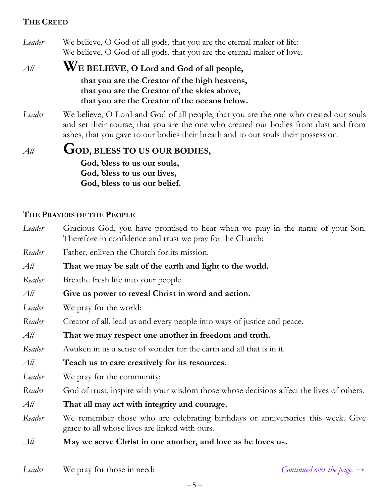### **THE CREED**

- *Leader* We believe, O God of all gods, that you are the eternal maker of life: We believe, O God of all gods, that you are the eternal maker of love.
- *All* **W<sup>E</sup> BELIEVE, O Lord and God of all people, that you are the Creator of the high heavens, that you are the Creator of the skies above, that you are the Creator of the oceans below.**
- *Leader* We believe, O Lord and God of all people, that you are the one who created our souls and set their course, that you are the one who created our bodies from dust and from ashes, that you gave to our bodies their breath and to our souls their possession.

### *All* **GOD, BLESS TO US OUR BODIES, God, bless to us our souls, God, bless to us our lives, God, bless to us our belief.**

### **THE PRAYERS OF THE PEOPLE**

- *Leader* Gracious God, you have promised to hear when we pray in the name of your Son. Therefore in confidence and trust we pray for the Church:
- *Reader* Father, enliven the Church for its mission.
- *All* **That we may be salt of the earth and light to the world.**
- *Reader* Breathe fresh life into your people.
- *All* **Give us power to reveal Christ in word and action.**
- *Leader* We pray for the world:

*Reader* Creator of all, lead us and every people into ways of justice and peace.

- *All* **That we may respect one another in freedom and truth.**
- *Reader* Awaken in us a sense of wonder for the earth and all that is in it.
- *All* **Teach us to care creatively for its resources.**
- *Leader* We pray for the community:
- *Reader* God of trust, inspire with your wisdom those whose decisions affect the lives of others.
- *All* **That all may act with integrity and courage.**
- *Reader* We remember those who are celebrating birthdays or anniversaries this week. Give grace to all whose lives are linked with ours.
- *All* **May we serve Christ in one another, and love as he loves us.**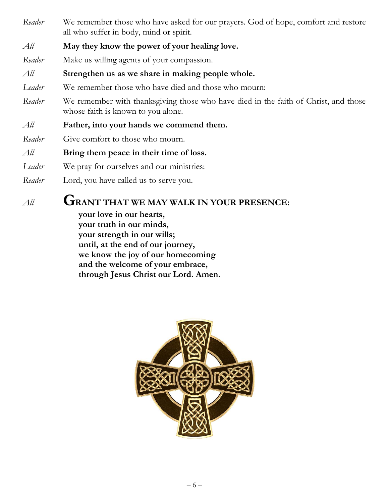*Reader* We remember those who have asked for our prayers. God of hope, comfort and restore all who suffer in body, mind or spirit.

### *All* **May they know the power of your healing love.**

- *Reader* Make us willing agents of your compassion.
- *All* **Strengthen us as we share in making people whole.**
- *Leader* We remember those who have died and those who mourn:
- *Reader* We remember with thanksgiving those who have died in the faith of Christ, and those whose faith is known to you alone.

### *All* **Father, into your hands we commend them.**

*Reader* Give comfort to those who mourn.

### *All* **Bring them peace in their time of loss.**

- *Leader* We pray for ourselves and our ministries:
- *Reader* Lord, you have called us to serve you.

## *All* **GRANT THAT WE MAY WALK IN YOUR PRESENCE:**

 **your love in our hearts, your truth in our minds, your strength in our wills; until, at the end of our journey, we know the joy of our homecoming and the welcome of your embrace, through Jesus Christ our Lord. Amen.**

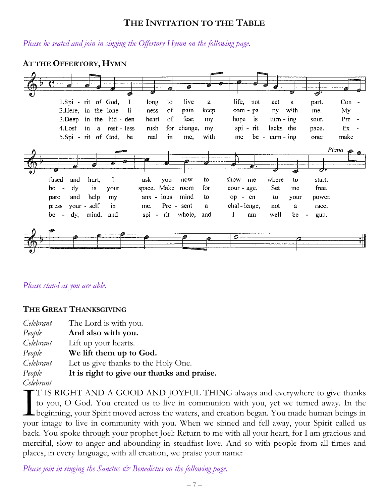### **THE INVITATION TO THE TABLE**

*Please be seated and join in singing the Offertory Hymn on the following page.*

#### 1.Spi - rit of God, live life,  $Con -$ T<sub>1</sub> long  $\overline{\mathbf{a}}$ not act to  $\mathbf{a}$ part. 2. Here, in the lone - li ness of pain. keep com - pa with  $\overline{a}$ ny me.  $Mv$ 3.Deep in the hid - den heart of fear. my hope is  $turn - ing$ sour.  $Pre$ rest - less 4.Lost change, spi - rit lacks the Ex in  $\mathbf{a}$ rush for my pace. 5.Spi - rit of God, with  $com - ing$ make be real in me. me  $be$ one; Piano fused and  $\mathbf{I}$ hurt. ask you now to show me where to start. bo  $\sim$ dy is your space. Make room for  $cour - age.$ Set me free.  $anx - ious$ mind pare and help  $mv$ to op - en to your power. press your - self in me. Pre - sent chal - lenge, a not  $\mathbf{a}$ race.  $bo - dy$ , mind, spi - rit whole. I am well and and be gun.

### *Please stand as you are able.*

### **THE GREAT THANKSGIVING**

**AT THE OFFERTORY, HYMN**

| Celebrant | The Lord is with you.                      |
|-----------|--------------------------------------------|
| People    | And also with you.                         |
| Celebrant | Lift up your hearts.                       |
| People    | We lift them up to God.                    |
| Celebrant | Let us give thanks to the Holy One.        |
| People    | It is right to give our thanks and praise. |
| Celebrant |                                            |

IT IS RIGHT AND A GOOD AND JOYFUL THING always and everywhere to give thanks to you, O God. You created us to live in communion with you, yet we turned away. In the beginning, your Spirit moved across the waters, and creat T IS RIGHT AND A GOOD AND JOYFUL THING always and everywhere to give thanks to you, O God. You created us to live in communion with you, yet we turned away. In the beginning, your Spirit moved across the waters, and creation began. You made human beings in back. You spoke through your prophet Joel: Return to me with all your heart, for I am gracious and merciful, slow to anger and abounding in steadfast love. And so with people from all times and places, in every language, with all creation, we praise your name:

*Please join in singing the Sanctus*  $\breve{c}$  *Benedictus on the following page.*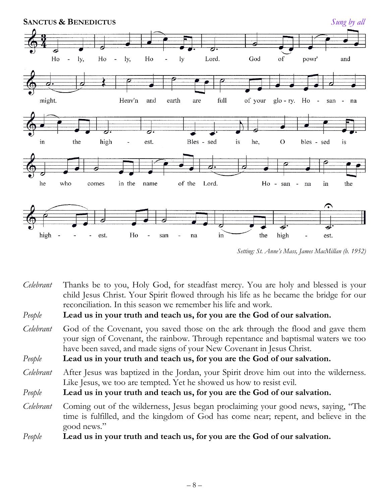

*Setting: St. Anne's Mass, James MacMillan (b. 1952)*

*Celebrant* Thanks be to you, Holy God, for steadfast mercy. You are holy and blessed is your child Jesus Christ. Your Spirit flowed through his life as he became the bridge for our reconciliation. In this season we remember his life and work.

*People* **Lead us in your truth and teach us, for you are the God of our salvation.**

*Celebrant* God of the Covenant, you saved those on the ark through the flood and gave them your sign of Covenant, the rainbow. Through repentance and baptismal waters we too have been saved, and made signs of your New Covenant in Jesus Christ.

*People* **Lead us in your truth and teach us, for you are the God of our salvation.**

*Celebrant* After Jesus was baptized in the Jordan, your Spirit drove him out into the wilderness. Like Jesus, we too are tempted. Yet he showed us how to resist evil.

*People* **Lead us in your truth and teach us, for you are the God of our salvation.**

*Celebrant* Coming out of the wilderness, Jesus began proclaiming your good news, saying, "The time is fulfilled, and the kingdom of God has come near; repent, and believe in the good news."

*People* **Lead us in your truth and teach us, for you are the God of our salvation.**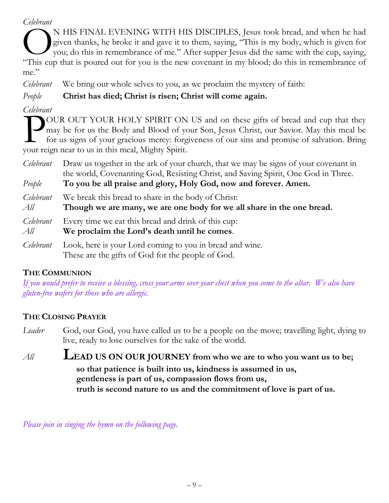*Celebrant*

N HIS FINAL EVENING WITH HIS DISCIPLES, Jesus took bread, and when he had given thanks, he broke it and gave it to them, saying, "This is my body, which is given for you; do this in remembrance of me." After supper Jesus did the same with the cup, saying, <sup>outbrank</sup> N HIS FINAL EVENING WITH HIS DISCIPLES, Jesus took bread, and when he had given thanks, he broke it and gave it to them, saying, "This is my body, which is given for you; do this in remembrance of me." After sup me."

*Celebrant* We bring our whole selves to you, as we proclaim the mystery of faith:

### *People* **Christ has died; Christ is risen; Christ will come again.**

*Celebrant*

OUR OUT YOUR HOLY SPIRIT ON US and on these gifts of bread and cup that they may be for us the Body and Blood of your Son, Jesus Christ, our Savior. May this meal be for us signs of your gracious mercy: forgiveness of our sins and promise of salvation. Bring **POUR OUT YOUR HOLY SPIRIT ON**<br>may be for us the Body and Blood of yo<br>for us signs of your gracious mercy: forgi<br>your reign near to us in this meal, Mighty Spirit.

*Celebrant* Draw us together in the ark of your church, that we may be signs of your covenant in the world, Covenanting God, Resisting Christ, and Saving Spirit, One God in Three. *People* **To you be all praise and glory, Holy God, now and forever. Amen.** *Celebrant* We break this bread to share in the body of Christ: *All* **Though we are many, we are one body for we all share in the one bread.** *Celebrant* Every time we eat this bread and drink of this cup: *All* **We proclaim the Lord's death until he comes**. *Celebrant* Look, here is your Lord coming to you in bread and wine. These are the gifts of God for the people of God.

### **THE COMMUNION**

*If you would prefer to receive a blessing, cross your arms over your chest when you come to the altar. We also have gluten-free wafers for those who are allergic.*

### **THE CLOSING PRAYER**

Leader God, our God, you have called us to be a people on the move; travelling light, dying to live, ready to lose ourselves for the sake of the world.

*All* **LEAD US ON OUR JOURNEY from who we are to who you want us to be; so that patience is built into us, kindness is assumed in us, gentleness is part of us, compassion flows from us, truth is second nature to us and the commitment of love is part of us.**

*Please join in singing the hymn on the following page.*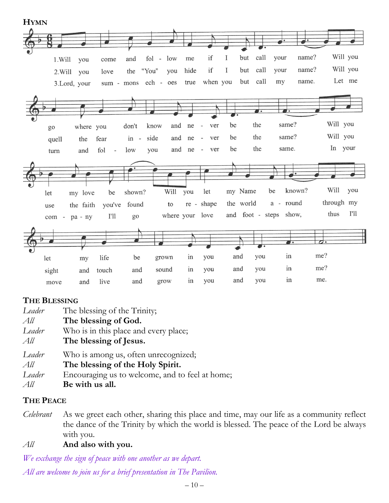| <b>HYMN</b> |         |              |                                 |        |           |            |        |                                 |    |           |      |                        |        |            |          |  |
|-------------|---------|--------------|---------------------------------|--------|-----------|------------|--------|---------------------------------|----|-----------|------|------------------------|--------|------------|----------|--|
|             |         |              |                                 |        |           |            |        |                                 |    |           |      |                        |        |            |          |  |
|             |         |              |                                 |        |           |            |        |                                 |    |           |      | u e                    |        |            |          |  |
|             | 1.Will  | you          | come                            | and    | fol -     | low        | me     | if                              | I  | but       | call | your                   | name?  |            | Will you |  |
|             | 2. Will | you          | love                            | the    | "You"     | you        | hide   | if                              | I  | but       | call | your                   | name?  |            | Will you |  |
|             |         | 3.Lord, your | sum - mons                      |        | ech - oes |            | true   | when you                        |    | but       | call | my                     | name.  |            | Let me   |  |
|             |         |              |                                 |        |           |            |        |                                 |    |           |      |                        |        |            |          |  |
|             |         |              |                                 |        |           |            |        |                                 |    |           |      |                        |        |            |          |  |
|             |         |              |                                 |        |           |            |        |                                 |    |           | ,,   | , ⊜                    |        |            |          |  |
|             | go      | where you    |                                 | don't  | know      |            | and ne | ver<br>$\overline{\phantom{a}}$ | be |           | the  | same?                  |        | Will you   |          |  |
|             | quell   | the          | fear                            | $in -$ | side      |            | and ne | ver<br>$\overline{\phantom{a}}$ | be |           | the  | same?                  |        |            | Will you |  |
|             | turn    | and          | fol<br>$\overline{\phantom{a}}$ | low    | you       |            | and ne | ver<br>$\overline{\phantom{a}}$ | be |           | the  | same.                  |        | In your    |          |  |
|             |         |              |                                 |        |           |            |        |                                 |    |           |      |                        |        |            |          |  |
|             |         |              |                                 |        |           |            |        |                                 |    |           |      |                        |        |            |          |  |
|             |         |              |                                 |        |           |            |        |                                 |    |           |      |                        |        |            |          |  |
|             | let     | my love      | be                              | shown? |           | Will       | you    | let                             |    | my Name   |      | be                     | known? | Will       | you      |  |
|             | use     | the faith    | you've                          | found  |           | to         |        | re - shape                      |    | the world |      | a - round              |        | through my |          |  |
|             | com     | $-pa - ny$   | I'11                            | go     |           | where your |        | love                            |    |           |      | and foot - steps show, |        | thus       | I'11     |  |
|             |         |              |                                 |        |           |            |        |                                 |    |           |      |                        |        |            |          |  |
|             |         |              |                                 |        |           |            |        |                                 |    |           |      | ,,                     |        | $\sigma$ . |          |  |
|             |         |              |                                 |        |           |            | in     |                                 |    | and       | you  | in                     |        | me?        |          |  |
|             | let     | my           | life                            | be     | grown     |            |        | you                             |    |           |      |                        |        |            |          |  |
|             | sight   | and          | touch                           | and    | sound     |            | in     | you                             |    | and       | you  | in                     |        | me?        |          |  |
|             | move    | and          | live                            | and    | grow      |            | in     | you                             |    | and       | you  | in                     |        | me.        |          |  |

### **THE BLESSING**

- *Leader* The blessing of the Trinity;
- *All* **The blessing of God.**
- *Leader* Who is in this place and every place;
- *All* **The blessing of Jesus.**
- *Leader* Who is among us, often unrecognized;
- *All* **The blessing of the Holy Spirit.**
- *Leader* Encouraging us to welcome, and to feel at home;
- *All* **Be with us all.**

### **THE PEACE**

*Celebrant* As we greet each other, sharing this place and time, may our life as a community reflect the dance of the Trinity by which the world is blessed. The peace of the Lord be always with you.

### *All* **And also with you.**

*We exchange the sign of peace with one another as we depart. All are welcome to join us for a brief presentation in The Pavilion.*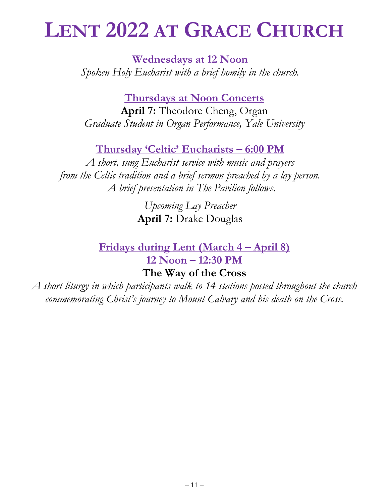# **LENT 2022 AT GRACE CHURCH**

**Wednesdays at 12 Noon** *Spoken Holy Eucharist with a brief homily in the church.*

**Thursdays at Noon Concerts**

**April 7:** Theodore Cheng, Organ *Graduate Student in Organ Performance, Yale University*

**Thursday 'Celtic' Eucharists – 6:00 PM**

*A short, sung Eucharist service with music and prayers from the Celtic tradition and a brief sermon preached by a lay person. A brief presentation in The Pavilion follows.*

> *Upcoming Lay Preacher* **April 7:** Drake Douglas

**Fridays during Lent (March 4 – April 8) 12 Noon – 12:30 PM The Way of the Cross**

*A short liturgy in which participants walk to 14 stations posted throughout the church commemorating Christ's journey to Mount Calvary and his death on the Cross.*